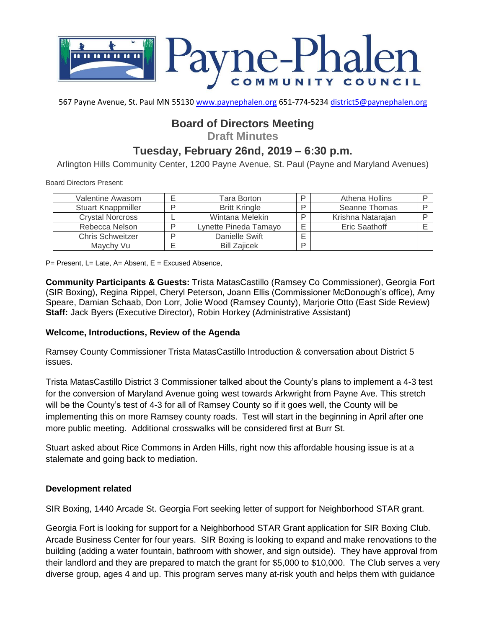

567 Payne Avenue, St. Paul MN 55130 [www.paynephalen.org](http://www.paynephalen.org/) 651-774-5234 [district5@paynephalen.org](mailto:district5@paynephalen.org)

# **Board of Directors Meeting**

**Draft Minutes**

# **Tuesday, February 26nd, 2019 – 6:30 p.m.**

Arlington Hills Community Center, 1200 Payne Avenue, St. Paul (Payne and Maryland Avenues)

Board Directors Present:

| Valentine Awasom          | c | Tara Borton           |        | Athena Hollins    |  |
|---------------------------|---|-----------------------|--------|-------------------|--|
| <b>Stuart Knappmiller</b> | ח | <b>Britt Kringle</b>  | D      | Seanne Thomas     |  |
| <b>Crystal Norcross</b>   |   | Wintana Melekin       | ח      | Krishna Natarajan |  |
| Rebecca Nelson            | D | Lynette Pineda Tamayo | F      | Eric Saathoff     |  |
| <b>Chris Schweitzer</b>   | ח | Danielle Swift        | ⊢<br>– |                   |  |
| Maychy Vu                 |   | <b>Bill Zaiicek</b>   | D      |                   |  |

 $P=$  Present, L= Late, A= Absent, E = Excused Absence,

**Community Participants & Guests:** Trista MatasCastillo (Ramsey Co Commissioner), Georgia Fort (SIR Boxing), Regina Rippel, Cheryl Peterson, Joann Ellis (Commissioner McDonough's office), Amy Speare, Damian Schaab, Don Lorr, Jolie Wood (Ramsey County), Marjorie Otto (East Side Review) **Staff:** Jack Byers (Executive Director), Robin Horkey (Administrative Assistant)

#### **Welcome, Introductions, Review of the Agenda**

Ramsey County Commissioner Trista MatasCastillo Introduction & conversation about District 5 issues.

Trista MatasCastillo District 3 Commissioner talked about the County's plans to implement a 4-3 test for the conversion of Maryland Avenue going west towards Arkwright from Payne Ave. This stretch will be the County's test of 4-3 for all of Ramsey County so if it goes well, the County will be implementing this on more Ramsey county roads. Test will start in the beginning in April after one more public meeting. Additional crosswalks will be considered first at Burr St.

Stuart asked about Rice Commons in Arden Hills, right now this affordable housing issue is at a stalemate and going back to mediation.

#### **Development related**

SIR Boxing, 1440 Arcade St. Georgia Fort seeking letter of support for Neighborhood STAR grant.

Georgia Fort is looking for support for a Neighborhood STAR Grant application for SIR Boxing Club. Arcade Business Center for four years. SIR Boxing is looking to expand and make renovations to the building (adding a water fountain, bathroom with shower, and sign outside). They have approval from their landlord and they are prepared to match the grant for \$5,000 to \$10,000. The Club serves a very diverse group, ages 4 and up. This program serves many at-risk youth and helps them with guidance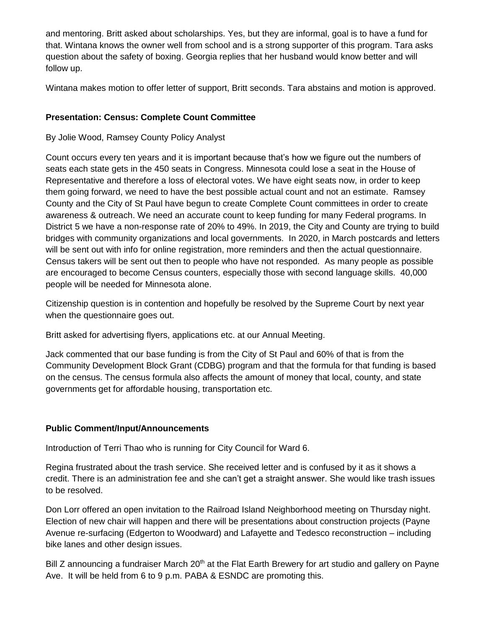and mentoring. Britt asked about scholarships. Yes, but they are informal, goal is to have a fund for that. Wintana knows the owner well from school and is a strong supporter of this program. Tara asks question about the safety of boxing. Georgia replies that her husband would know better and will follow up.

Wintana makes motion to offer letter of support, Britt seconds. Tara abstains and motion is approved.

# **Presentation: Census: Complete Count Committee**

### By Jolie Wood, Ramsey County Policy Analyst

Count occurs every ten years and it is important because that's how we figure out the numbers of seats each state gets in the 450 seats in Congress. Minnesota could lose a seat in the House of Representative and therefore a loss of electoral votes. We have eight seats now, in order to keep them going forward, we need to have the best possible actual count and not an estimate. Ramsey County and the City of St Paul have begun to create Complete Count committees in order to create awareness & outreach. We need an accurate count to keep funding for many Federal programs. In District 5 we have a non-response rate of 20% to 49%. In 2019, the City and County are trying to build bridges with community organizations and local governments. In 2020, in March postcards and letters will be sent out with info for online registration, more reminders and then the actual questionnaire. Census takers will be sent out then to people who have not responded. As many people as possible are encouraged to become Census counters, especially those with second language skills. 40,000 people will be needed for Minnesota alone.

Citizenship question is in contention and hopefully be resolved by the Supreme Court by next year when the questionnaire goes out.

Britt asked for advertising flyers, applications etc. at our Annual Meeting.

Jack commented that our base funding is from the City of St Paul and 60% of that is from the Community Development Block Grant (CDBG) program and that the formula for that funding is based on the census. The census formula also affects the amount of money that local, county, and state governments get for affordable housing, transportation etc.

# **Public Comment/Input/Announcements**

Introduction of Terri Thao who is running for City Council for Ward 6.

Regina frustrated about the trash service. She received letter and is confused by it as it shows a credit. There is an administration fee and she can't get a straight answer. She would like trash issues to be resolved.

Don Lorr offered an open invitation to the Railroad Island Neighborhood meeting on Thursday night. Election of new chair will happen and there will be presentations about construction projects (Payne Avenue re-surfacing (Edgerton to Woodward) and Lafayette and Tedesco reconstruction – including bike lanes and other design issues.

Bill Z announcing a fundraiser March  $20<sup>th</sup>$  at the Flat Earth Brewery for art studio and gallery on Payne Ave. It will be held from 6 to 9 p.m. PABA & ESNDC are promoting this.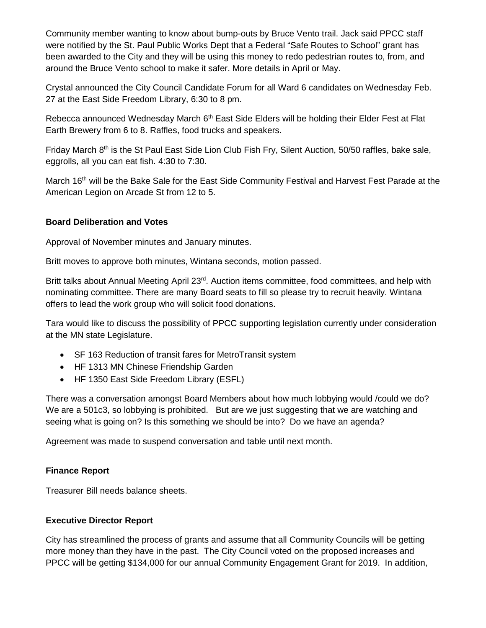Community member wanting to know about bump-outs by Bruce Vento trail. Jack said PPCC staff were notified by the St. Paul Public Works Dept that a Federal "Safe Routes to School" grant has been awarded to the City and they will be using this money to redo pedestrian routes to, from, and around the Bruce Vento school to make it safer. More details in April or May.

Crystal announced the City Council Candidate Forum for all Ward 6 candidates on Wednesday Feb. 27 at the East Side Freedom Library, 6:30 to 8 pm.

Rebecca announced Wednesday March 6<sup>th</sup> East Side Elders will be holding their Elder Fest at Flat Earth Brewery from 6 to 8. Raffles, food trucks and speakers.

Friday March 8<sup>th</sup> is the St Paul East Side Lion Club Fish Fry, Silent Auction, 50/50 raffles, bake sale, eggrolls, all you can eat fish. 4:30 to 7:30.

March 16<sup>th</sup> will be the Bake Sale for the East Side Community Festival and Harvest Fest Parade at the American Legion on Arcade St from 12 to 5.

# **Board Deliberation and Votes**

Approval of November minutes and January minutes.

Britt moves to approve both minutes, Wintana seconds, motion passed.

Britt talks about Annual Meeting April 23<sup>rd</sup>. Auction items committee, food committees, and help with nominating committee. There are many Board seats to fill so please try to recruit heavily. Wintana offers to lead the work group who will solicit food donations.

Tara would like to discuss the possibility of PPCC supporting legislation currently under consideration at the MN state Legislature.

- SF 163 Reduction of transit fares for MetroTransit system
- HF 1313 MN Chinese Friendship Garden
- HF 1350 East Side Freedom Library (ESFL)

There was a conversation amongst Board Members about how much lobbying would /could we do? We are a 501c3, so lobbying is prohibited. But are we just suggesting that we are watching and seeing what is going on? Is this something we should be into? Do we have an agenda?

Agreement was made to suspend conversation and table until next month.

#### **Finance Report**

Treasurer Bill needs balance sheets.

# **Executive Director Report**

City has streamlined the process of grants and assume that all Community Councils will be getting more money than they have in the past. The City Council voted on the proposed increases and PPCC will be getting \$134,000 for our annual Community Engagement Grant for 2019. In addition,